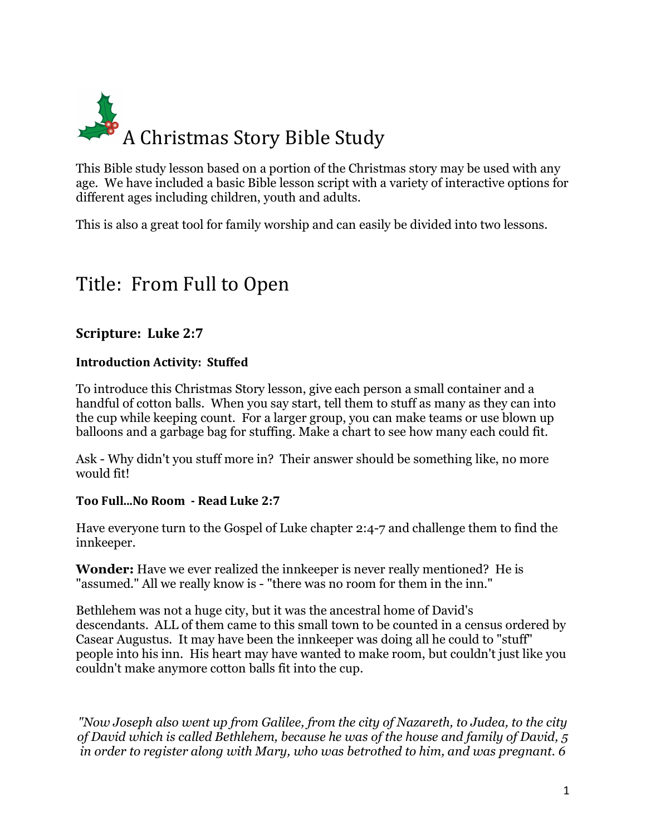

This Bible study lesson based on a portion of the Christmas story may be used with any age. We have included a basic Bible lesson script with a variety of interactive options for different ages including children, youth and adults.

This is also a great tool for family worship and can easily be divided into two lessons.

# Title: From Full to Open

### **Scripture: Luke 2:7**

#### **Introduction Activity: Stuffed**

To introduce this Christmas Story lesson, give each person a small container and a handful of cotton balls. When you say start, tell them to stuff as many as they can into the cup while keeping count. For a larger group, you can make teams or use blown up balloons and a garbage bag for stuffing. Make a chart to see how many each could fit.

Ask - Why didn't you stuff more in? Their answer should be something like, no more would fit!

#### **Too Full...No Room - Read Luke 2:7**

Have everyone turn to the Gospel of Luke chapter 2:4-7 and challenge them to find the innkeeper.

**Wonder:** Have we ever realized the innkeeper is never really mentioned? He is "assumed." All we really know is - "there was no room for them in the inn."

Bethlehem was not a huge city, but it was the ancestral home of David's descendants. ALL of them came to this small town to be counted in a census ordered by Casear Augustus. It may have been the innkeeper was doing all he could to "stuff" people into his inn. His heart may have wanted to make room, but couldn't just like you couldn't make anymore cotton balls fit into the cup.

*"Now Joseph also went up from Galilee, from the city of Nazareth, to Judea, to the city of David which is called Bethlehem, because he was of the house and family of David, 5 in order to register along with Mary, who was betrothed to him, and was pregnant. 6*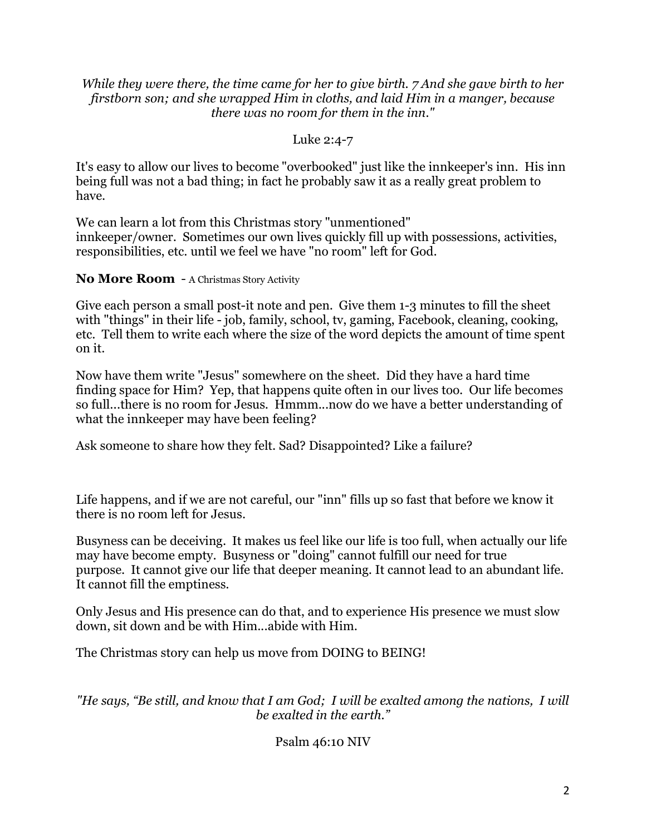#### *While they were there, the time came for her to give birth. 7 And she gave birth to her firstborn son; and she wrapped Him in cloths, and laid Him in a manger, because there was no room for them in the inn."*

#### Luke 2:4-7

It's easy to allow our lives to become "overbooked" just like the innkeeper's inn. His inn being full was not a bad thing; in fact he probably saw it as a really great problem to have.

We can learn a lot from this Christmas story "unmentioned" innkeeper/owner. Sometimes our own lives quickly fill up with possessions, activities, responsibilities, etc. until we feel we have "no room" left for God.

#### **No More Room** - A Christmas Story Activity

Give each person a small post-it note and pen. Give them 1-3 minutes to fill the sheet with "things" in their life - job, family, school, tv, gaming, Facebook, cleaning, cooking, etc. Tell them to write each where the size of the word depicts the amount of time spent on it.

Now have them write "Jesus" somewhere on the sheet. Did they have a hard time finding space for Him? Yep, that happens quite often in our lives too. Our life becomes so full...there is no room for Jesus. Hmmm...now do we have a better understanding of what the innkeeper may have been feeling?

Ask someone to share how they felt. Sad? Disappointed? Like a failure?

Life happens, and if we are not careful, our "inn" fills up so fast that before we know it there is no room left for Jesus.

Busyness can be deceiving. It makes us feel like our life is too full, when actually our life may have become empty. Busyness or "doing" cannot fulfill our need for true purpose. It cannot give our life that deeper meaning. It cannot lead to an abundant life. It cannot fill the emptiness.

Only Jesus and His presence can do that, and to experience His presence we must slow down, sit down and be with Him...abide with Him.

The Christmas story can help us move from DOING to BEING!

*"He says, "Be still, and know that I am God; I will be exalted among the nations, I will be exalted in the earth."*

## Psalm 46:10 NIV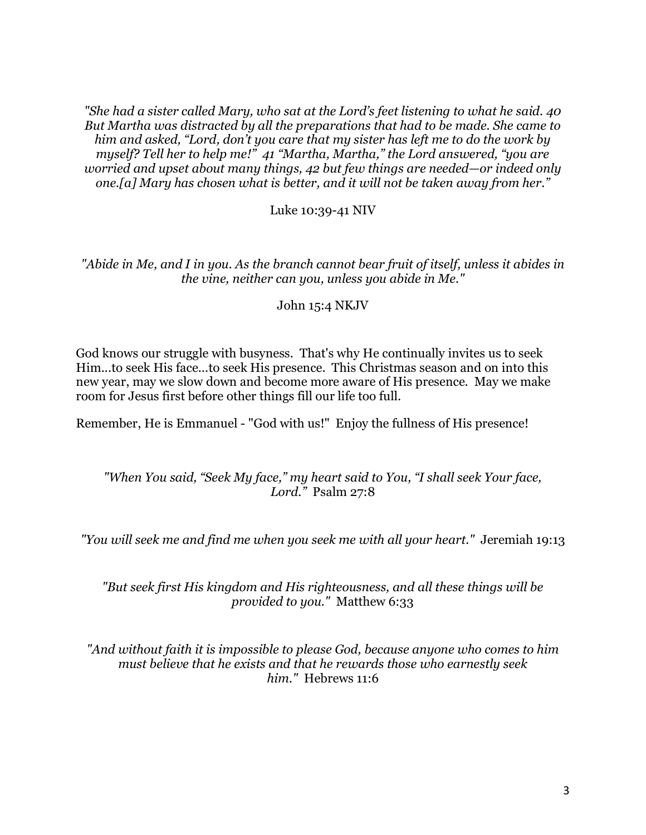*"She had a sister called Mary, who sat at the Lord's feet listening to what he said. 40 But Martha was distracted by all the preparations that had to be made. She came to him and asked, "Lord, don't you care that my sister has left me to do the work by myself? Tell her to help me!" 41 "Martha, Martha," the Lord answered, "you are worried and upset about many things, 42 but few things are needed—or indeed only one.[a] Mary has chosen what is better, and it will not be taken away from her."*

Luke 10:39-41 NIV

*"Abide in Me, and I in you. As the branch cannot bear fruit of itself, unless it abides in the vine, neither can you, unless you abide in Me."*

John 15:4 NKJV

God knows our struggle with busyness. That's why He continually invites us to seek Him...to seek His face...to seek His presence. This Christmas season and on into this new year, may we slow down and become more aware of His presence. May we make room for Jesus first before other things fill our life too full.

Remember, He is Emmanuel - "God with us!" Enjoy the fullness of His presence!

#### *"When You said, "Seek My face," my heart said to You, "I shall seek Your face, Lord."* Psalm 27:8

*"You will seek me and find me when you seek me with all your heart."* Jeremiah 19:13

*"But seek first His kingdom and His righteousness, and all these things will be provided to you."* Matthew 6:33

*"And without faith it is impossible to please God, because anyone who comes to him must believe that he exists and that he rewards those who earnestly seek him."* Hebrews 11:6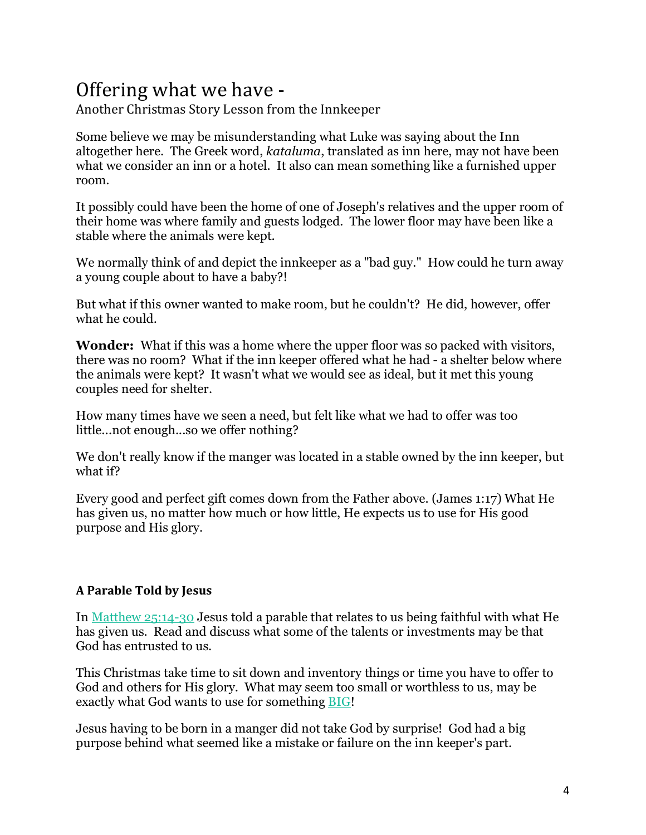# Offering what we have -

Another Christmas Story Lesson from the Innkeeper

Some believe we may be misunderstanding what Luke was saying about the Inn altogether here. The Greek word, *kataluma*, translated as inn here, may not have been what we consider an inn or a hotel. It also can mean something like a furnished upper room.

It possibly could have been the home of one of Joseph's relatives and the upper room of their home was where family and guests lodged. The lower floor may have been like a stable where the animals were kept.

We normally think of and depict the innkeeper as a "bad guy." How could he turn away a young couple about to have a baby?!

But what if this owner wanted to make room, but he couldn't? He did, however, offer what he could.

**Wonder:** What if this was a home where the upper floor was so packed with visitors, there was no room? What if the inn keeper offered what he had - a shelter below where the animals were kept? It wasn't what we would see as ideal, but it met this young couples need for shelter.

How many times have we seen a need, but felt like what we had to offer was too little...not enough...so we offer nothing?

We don't really know if the manger was located in a stable owned by the inn keeper, but what if?

Every good and perfect gift comes down from the Father above. (James 1:17) What He has given us, no matter how much or how little, He expects us to use for His good purpose and His glory.

#### **A Parable Told by Jesus**

In Matthew 25:14-30 Jesus told a parable that relates to us being faithful with what He has given us. Read and discuss what some of the talents or investments may be that God has entrusted to us.

This Christmas take time to sit down and inventory things or time you have to offer to God and others for His glory. What may seem too small or worthless to us, may be exactly what God wants to use for something BIG!

Jesus having to be born in a manger did not take God by surprise! God had a big purpose behind what seemed like a mistake or failure on the inn keeper's part.